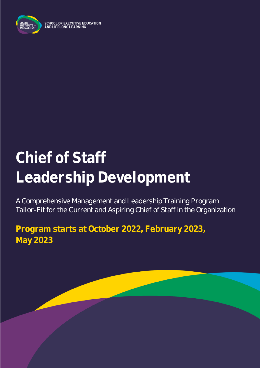

**SCHOOL OF EXECUTIVE EDUCATION** AND LIFELONG LEARNING

# **Chief of Staff Leadership Development**

A Comprehensive Management and Leadership Training Program Tailor-Fit for the Current and Aspiring Chief of Staff in the Organization

**Program starts at October 2022, February 2023, May 2023**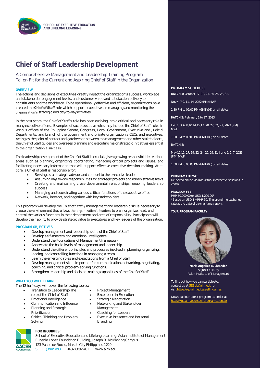

### **Chief of Staff Leadership Development**

A Comprehensive Management and Leadership Training Program Tailor-Fit for the Current and Aspiring Chief of Staff in the Organization

The actions and decisions of executives greatly impact the organization's success, workplace and stakeholder engagement levels, and customer value and satisfaction delivery to constituents and the workforce. To be operationally effective and efficient, organizations have created the **Chief of Staff** role which supports executives in managing and monitoring the organization's strategic and day-to-day activities.

In the past years, the Chief of Staff's role has been evolving into a critical and necessary role in many executive offices. Examples of such executive roles may include the Chief of Staff roles in various offices of the Philippine Senate, Congress, Local Government, Executive and Judicial Departments, and branch of the government and private organization's CEOs and executives. Acting as the point of contact and gatekeeper between top management and other stakeholders, the Chief of Staff guides and oversees planning and executing major strategic initiatives essential to the organization's success.

The leadership development of the Chief of Staff is crucial, given growing responsibilities various areas such as planning, organizing, coordinating, managing critical projects and issues, and facilitating necessary information that will support effective executive decision-making. At its core, a Chief of Staff is responsible for:

- Serving as a strategic advisor and counsel to the executive leader
- Assuming day-to-day responsibilities for strategic projects and administrative tasks • Creating and maintaining cross-departmental relationships, enabling leadership
- success
- Managing and coordinating various critical functions of the executive office
- Network, interact, and negotiate with key stakeholders

This program will develop the Chief of Staff's management and leadership skills necessary to create the environment that allows the organization's leaders to plan, organize, lead, and control the various functions in their department and area of responsibility. Participants will develop their ability to provide strategic value to executives and key leaders of the organization.

#### **PROGRAM OBJECTIVES**

- Develop management and leadership skills of the Chief of Staff
- Develop self-mastery and emotional intelligence
- Understand the Foundations of Management framework
- Appreciate the basic levels of management and leadership
- Understand the different principles and processes involved in planning, organizing, leading, and controlling functions in managing a team
- Learn the emerging roles and expectations from a Chief of Staff
- Develop management skills important for communication, networking, negotiating, coaching, and critical problem-solving functions.
- Strengthen leadership and decision-making capabilities of the Chief of Staff

#### **WHAT YOU WILL LEARN**

The 12 half-days will cover the following topics:

- Transition to Leadership/The role of the Chief of Staff
- Emotional Intelligence
- Communication and Influence
- Planning and Strategic Prioritization
- Critical Thinking and Problem Solving



#### **FOR INQUIRIES:**

School of Executive Education and Lifelong Learning, Asian Institute of Management Eugenio Lopez Foundation Building, Joseph R. McMicking Campus

Project Management Excellence in Execution Strategic Negotiation Networking and Stakeholder

Executive Presence and Personal

Management Coaching for Leaders

Branding

123 Paseo de Roxas, Makati City Philippines 1229

[SEELL@aim.edu](mailto:SEELL@aim.edu) | +632 8892 4011 | www.aim.edu

- **OVERVIEW PROGRAM SCHEDULE**
	- **BATCH 1:** October 17, 19, 21, 24, 26, 28, 31,

Nov 4, 7,9, 11, 14, 2022 (PM) MWF

1:30 PM to 05:00 PM (GMT+08) on all dates

**BATCH 2:** February 1 to 27, 2023

Feb 1, 3, 6, 8,10,14,15,17, 20, 22, 24, 27, 2023 (PM) MWF

1:30 PM to 05:00 PM (GMT+08) on all dates

BATCH 3:

May 12,15, 17, 19, 22, 24, 26, 29, 31, June 2, 5, 7, 2023 (PM) MWF

1:30 PM to 05:00 PM (GMT+08) on all dates

#### **PROGRAM FORMAT**

Delivered online via live virtual interactive sessions in Zoom

**PROGRAM FEE**

PHP 60,000.00 or USD 1,200.00\* \*Based on USD 1 = PHP 50. The prevailing exchange rate at the date of payment may apply.

**YOUR PROGRAM FACULTY**



**Maria Angelica B. Lleander** Adjunct Faculty Asian Institute of Management

To find out how you can participate, contact us a[t SEELL@aim.edu](mailto:SEELL@aim.edu) or visit https://go.aim.edu/seell

Download our latest program calendar at https://go.aim.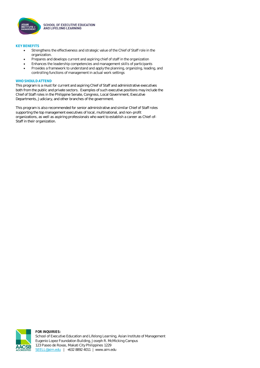

**SCHOOL OF EXECUTIVE EDUCATION** AND LIFELONG LEARNING

#### **KEY BENEFITS**

- Strengthens the effectiveness and strategic value of the Chief of Staff role in the organization.
- Prepares and develops current and aspiring chief of staff in the organization
- Enhances the leadership competencies and management skills of participants
- Provides a framework to understand and apply the planning, organizing, leading, and controlling functions of management in actual work settings

#### **WHO SHOULD ATTEND**

This program is a must for current and aspiring Chief of Staff and administrative executives both from the public and private sectors. Examples of such executive positions may include the Chief of Staff roles in the Philippine Senate, Congress, Local Government, Executive Departments, Judiciary, and other branches of the government.

This program is also recommended for senior administrative and similar Chief of Staff roles supporting the top management executives of local, multinational, and non-profit organizations, as well as aspiring professionals who want to establish a career as Chief-of-Staff in their organization.



**FOR INQUIRIES:** School of Executive Education and Lifelong Learning, Asian Institute of Management Eugenio Lopez Foundation Building, Joseph R. McMicking Campus 123 Paseo de Roxas, Makati City Philippines 1229 [SEELL@aim.edu](mailto:SEELL@aim.edu) | +632 8892 4011 | www.aim.edu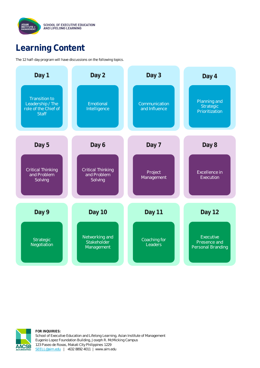

### **Learning Content**

The 12 half-day program will have discussions on the following topics.





**FOR INQUIRIES:** School of Executive Education and Lifelong Learning, Asian Institute of Management Eugenio Lopez Foundation Building, Joseph R. McMicking Campus 123 Paseo de Roxas, Makati City Philippines 1229 [SEELL@aim.edu](mailto:SEELL@aim.edu) | +632 8892 4011 | www.aim.edu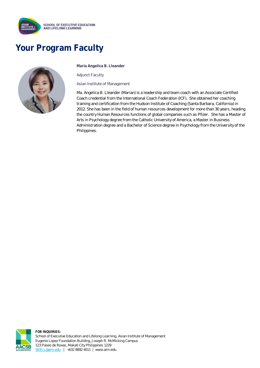

## **Your Program Faculty**



 **Maria Angelica B. Lleander**

Adjunct Faculty

Asian Institute of Management

Ma. Angelica B. Lleander (Marian) is a leadership and team coach with an Associate Certified Coach credential from the International Coach Federation (ICF). She obtained her coaching training and certification from the Hudson Institute of Coaching (Santa Barbara, California) in 2012. She has been in the field of human resources development for more than 30 years, heading the country Human Resources functions of global companies such as Pfizer. She has a Master of Arts in Psychology degree from the Catholic University of America, a Master in Business Administration degree and a Bachelor of Science degree in Psychology from the University of the Philippines.



**FOR INQUIRIES:** School of Executive Education and Lifelong Learning, Asian Institute of Management Eugenio Lopez Foundation Building, Joseph R. McMicking Campus 123 Paseo de Roxas, Makati City Philippines 1229 [SEELL@aim.edu](mailto:SEELL@aim.edu) | +632 8892 4011 | www.aim.edu